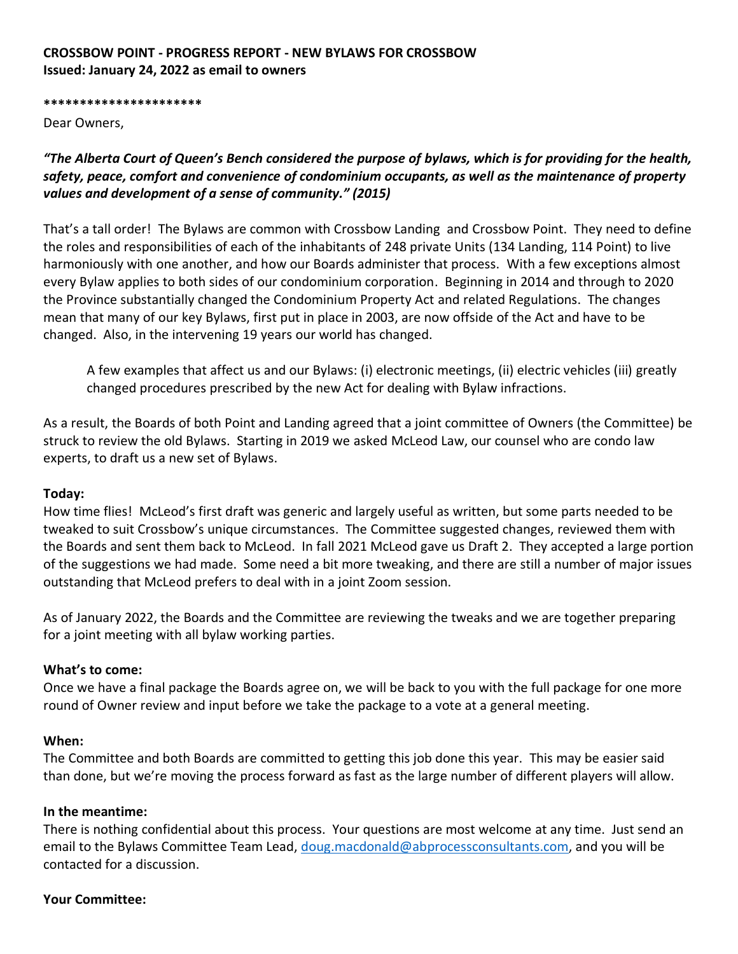# **CROSSBOW POINT - PROGRESS REPORT - NEW BYLAWS FOR CROSSBOW Issued: January 24, 2022 as email to owners**

**\*\*\*\*\*\*\*\*\*\*\*\*\*\*\*\*\*\*\*\*\*\***

Dear Owners,

*"The Alberta Court of Queen's Bench considered the purpose of bylaws, which is for providing for the health, safety, peace, comfort and convenience of condominium occupants, as well as the maintenance of property values and development of a sense of community." (2015)*

That's a tall order! The Bylaws are common with Crossbow Landing and Crossbow Point. They need to define the roles and responsibilities of each of the inhabitants of 248 private Units (134 Landing, 114 Point) to live harmoniously with one another, and how our Boards administer that process. With a few exceptions almost every Bylaw applies to both sides of our condominium corporation. Beginning in 2014 and through to 2020 the Province substantially changed the Condominium Property Act and related Regulations. The changes mean that many of our key Bylaws, first put in place in 2003, are now offside of the Act and have to be changed. Also, in the intervening 19 years our world has changed.

A few examples that affect us and our Bylaws: (i) electronic meetings, (ii) electric vehicles (iii) greatly changed procedures prescribed by the new Act for dealing with Bylaw infractions.

As a result, the Boards of both Point and Landing agreed that a joint committee of Owners (the Committee) be struck to review the old Bylaws. Starting in 2019 we asked McLeod Law, our counsel who are condo law experts, to draft us a new set of Bylaws.

### **Today:**

How time flies! McLeod's first draft was generic and largely useful as written, but some parts needed to be tweaked to suit Crossbow's unique circumstances. The Committee suggested changes, reviewed them with the Boards and sent them back to McLeod. In fall 2021 McLeod gave us Draft 2. They accepted a large portion of the suggestions we had made. Some need a bit more tweaking, and there are still a number of major issues outstanding that McLeod prefers to deal with in a joint Zoom session.

As of January 2022, the Boards and the Committee are reviewing the tweaks and we are together preparing for a joint meeting with all bylaw working parties.

#### **What's to come:**

Once we have a final package the Boards agree on, we will be back to you with the full package for one more round of Owner review and input before we take the package to a vote at a general meeting.

#### **When:**

The Committee and both Boards are committed to getting this job done this year. This may be easier said than done, but we're moving the process forward as fast as the large number of different players will allow.

#### **In the meantime:**

There is nothing confidential about this process. Your questions are most welcome at any time. Just send an email to the Bylaws Committee Team Lead, [doug.macdonald@abprocessconsultants.com,](mailto:doug.macdonald@abprocessconsultants.com) and you will be contacted for a discussion.

#### **Your Committee:**